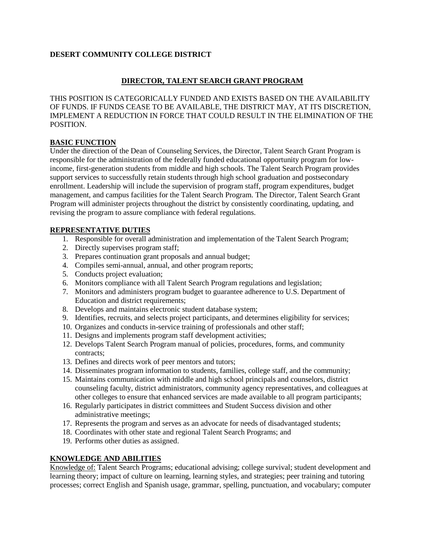### **DESERT COMMUNITY COLLEGE DISTRICT**

# **DIRECTOR, TALENT SEARCH GRANT PROGRAM**

THIS POSITION IS CATEGORICALLY FUNDED AND EXISTS BASED ON THE AVAILABILITY OF FUNDS. IF FUNDS CEASE TO BE AVAILABLE, THE DISTRICT MAY, AT ITS DISCRETION, IMPLEMENT A REDUCTION IN FORCE THAT COULD RESULT IN THE ELIMINATION OF THE POSITION.

#### **BASIC FUNCTION**

Under the direction of the Dean of Counseling Services, the Director, Talent Search Grant Program is responsible for the administration of the federally funded educational opportunity program for lowincome, first-generation students from middle and high schools. The Talent Search Program provides support services to successfully retain students through high school graduation and postsecondary enrollment. Leadership will include the supervision of program staff, program expenditures, budget management, and campus facilities for the Talent Search Program. The Director, Talent Search Grant Program will administer projects throughout the district by consistently coordinating, updating, and revising the program to assure compliance with federal regulations.

### **REPRESENTATIVE DUTIES**

- 1. Responsible for overall administration and implementation of the Talent Search Program;
- 2. Directly supervises program staff;
- 3. Prepares continuation grant proposals and annual budget;
- 4. Compiles semi-annual, annual, and other program reports;
- 5. Conducts project evaluation;
- 6. Monitors compliance with all Talent Search Program regulations and legislation;
- 7. Monitors and administers program budget to guarantee adherence to U.S. Department of Education and district requirements;
- 8. Develops and maintains electronic student database system;
- 9. Identifies, recruits, and selects project participants, and determines eligibility for services;
- 10. Organizes and conducts in-service training of professionals and other staff;
- 11. Designs and implements program staff development activities;
- 12. Develops Talent Search Program manual of policies, procedures, forms, and community contracts;
- 13. Defines and directs work of peer mentors and tutors;
- 14. Disseminates program information to students, families, college staff, and the community;
- 15. Maintains communication with middle and high school principals and counselors, district counseling faculty, district administrators, community agency representatives, and colleagues at other colleges to ensure that enhanced services are made available to all program participants;
- 16. Regularly participates in district committees and Student Success division and other administrative meetings;
- 17. Represents the program and serves as an advocate for needs of disadvantaged students;
- 18. Coordinates with other state and regional Talent Search Programs; and
- 19. Performs other duties as assigned.

### **KNOWLEDGE AND ABILITIES**

Knowledge of: Talent Search Programs; educational advising; college survival; student development and learning theory; impact of culture on learning, learning styles, and strategies; peer training and tutoring processes; correct English and Spanish usage, grammar, spelling, punctuation, and vocabulary; computer